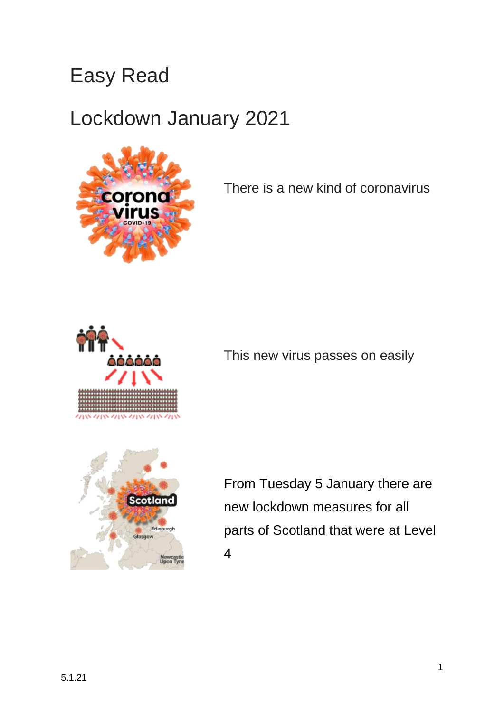## Easy Read

## Lockdown January 2021



There is a new kind of coronavirus



This new virus passes on easily



From Tuesday 5 January there are new lockdown measures for all parts of Scotland that were at Level 4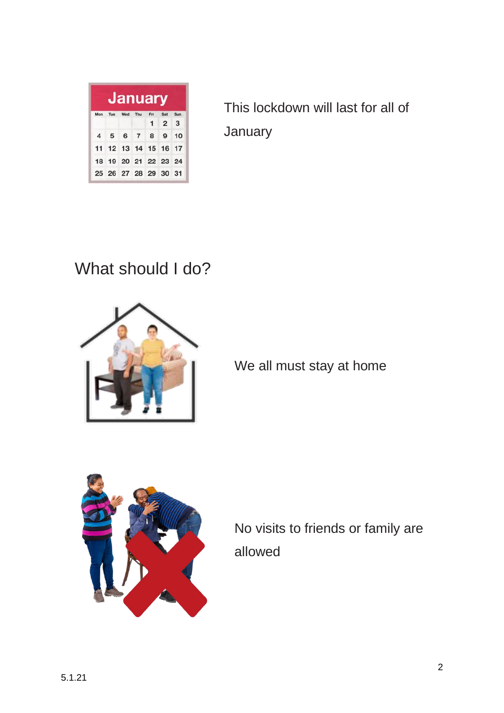| <b>January</b> |         |  |         |                      |                   |     |
|----------------|---------|--|---------|----------------------|-------------------|-----|
| Mon            | Tue Wed |  | Thu Fri |                      | Sat               | Sun |
|                |         |  |         |                      | $1\quad 2\quad 3$ |     |
|                |         |  |         | 4 5 6 7 8 9 10       |                   |     |
|                |         |  |         | 11 12 13 14 15 16 17 |                   |     |
|                |         |  |         | 18 19 20 21 22 23 24 |                   |     |
|                |         |  |         | 25 26 27 28 29 30 31 |                   |     |

This lockdown will last for all of January

What should I do?



We all must stay at home



No visits to friends or family are allowed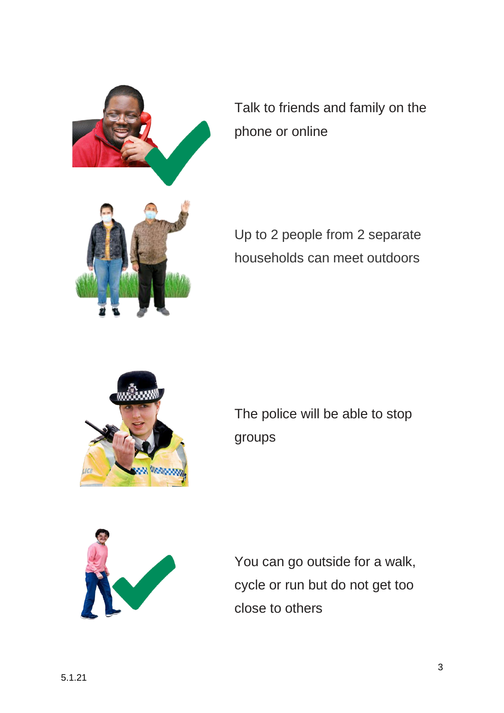

Talk to friends and family on the phone or online



Up to 2 people from 2 separate households can meet outdoors



The police will be able to stop groups



You can go outside for a walk, cycle or run but do not get too close to others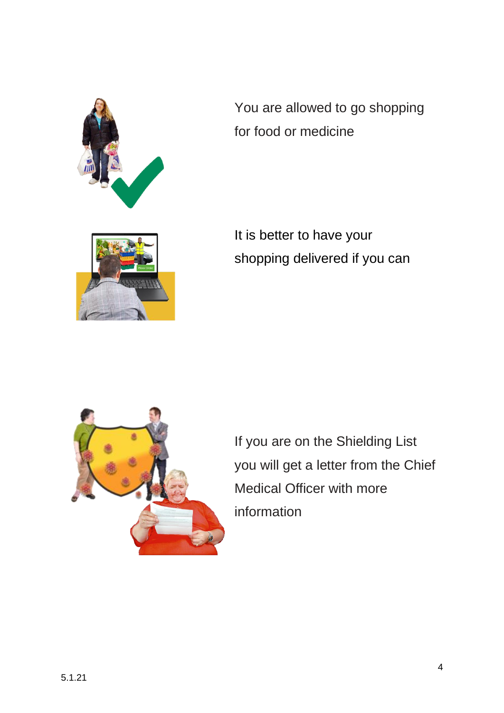

You are allowed to go shopping for food or medicine

It is better to have your shopping delivered if you can



If you are on the Shielding List you will get a letter from the Chief Medical Officer with more information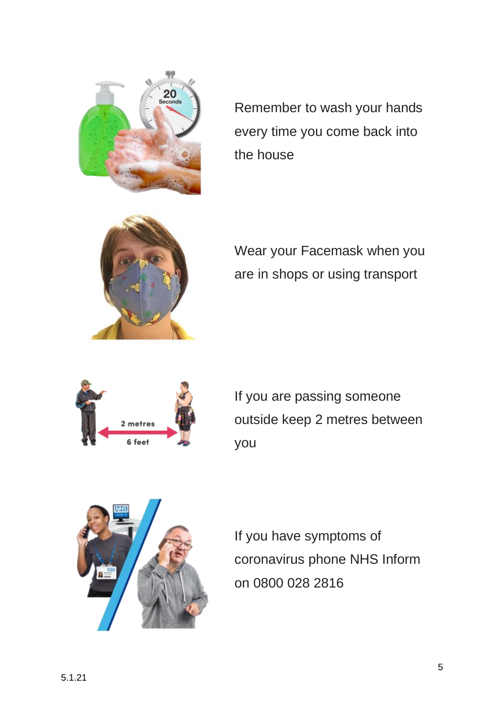

Remember to wash your hands every time you come back into the house



Wear your Facemask when you are in shops or using transport



If you are passing someone outside keep 2 metres between you



If you have symptoms of coronavirus phone NHS Inform on 0800 028 2816